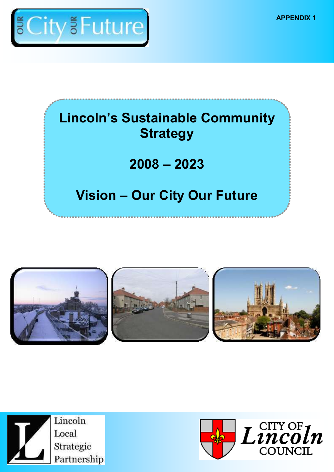**APPENDIX 1**



# **Lincoln's Sustainable Community Strategy**

# **2008 – 2023**

# **Vision – Our City Our Future**





Lincoln Local Strategic Partnership

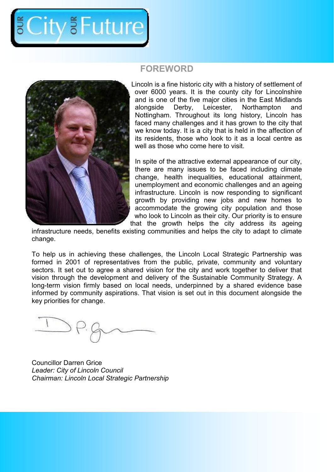

### **FOREWORD**



Lincoln is a fine historic city with a history of settlement of over 6000 years. It is the county city for Lincolnshire and is one of the five major cities in the East Midlands alongside Derby, Leicester, Northampton and Nottingham. Throughout its long history, Lincoln has faced many challenges and it has grown to the city that we know today. It is a city that is held in the affection of its residents, those who look to it as a local centre as well as those who come here to visit.

In spite of the attractive external appearance of our city, there are many issues to be faced including climate change, health inequalities, educational attainment, unemployment and economic challenges and an ageing infrastructure. Lincoln is now responding to significant growth by providing new jobs and new homes to accommodate the growing city population and those who look to Lincoln as their city. Our priority is to ensure that the growth helps the city address its ageing

infrastructure needs, benefits existing communities and helps the city to adapt to climate change.

To help us in achieving these challenges, the Lincoln Local Strategic Partnership was formed in 2001 of representatives from the public, private, community and voluntary sectors. It set out to agree a shared vision for the city and work together to deliver that vision through the development and delivery of the Sustainable Community Strategy. A long-term vision firmly based on local needs, underpinned by a shared evidence base informed by community aspirations. That vision is set out in this document alongside the key priorities for change.

Councillor Darren Grice *Leader: City of Lincoln Council Chairman: Lincoln Local Strategic Partnership*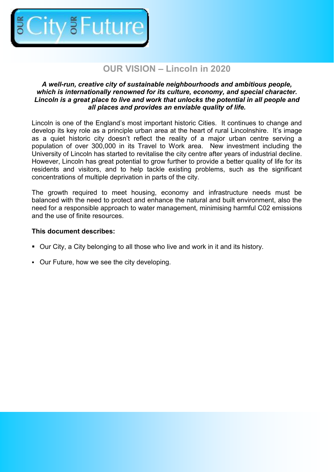

# **OUR VISION – Lincoln in 2020**

#### *A well-run, creative city of sustainable neighbourhoods and ambitious people, which is internationally renowned for its culture, economy, and special character. Lincoln is a great place to live and work that unlocks the potential in all people and all places and provides an enviable quality of life.*

Lincoln is one of the England's most important historic Cities. It continues to change and develop its key role as a principle urban area at the heart of rural Lincolnshire. It's image as a quiet historic city doesn't reflect the reality of a major urban centre serving a population of over 300,000 in its Travel to Work area. New investment including the University of Lincoln has started to revitalise the city centre after years of industrial decline. However, Lincoln has great potential to grow further to provide a better quality of life for its residents and visitors, and to help tackle existing problems, such as the significant concentrations of multiple deprivation in parts of the city.

The growth required to meet housing, economy and infrastructure needs must be balanced with the need to protect and enhance the natural and built environment, also the need for a responsible approach to water management, minimising harmful C02 emissions and the use of finite resources.

#### **This document describes:**

- Our City, a City belonging to all those who live and work in it and its history.
- Our Future, how we see the city developing.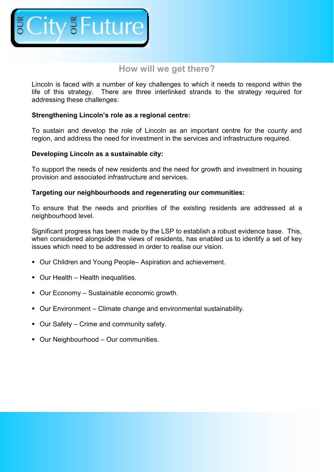

## **How will we get there?**

Lincoln is faced with a number of key challenges to which it needs to respond within the life of this strategy. There are three interlinked strands to the strategy required for addressing these challenges:

#### **Strengthening Lincoln's role as a regional centre:**

To sustain and develop the role of Lincoln as an important centre for the county and region, and address the need for investment in the services and infrastructure required.

#### **Developing Lincoln as a sustainable city:**

To support the needs of new residents and the need for growth and investment in housing provision and associated infrastructure and services.

#### **Targeting our neighbourhoods and regenerating our communities:**

To ensure that the needs and priorities of the existing residents are addressed at a neighbourhood level.

Significant progress has been made by the LSP to establish a robust evidence base. This, when considered alongside the views of residents, has enabled us to identify a set of key issues which need to be addressed in order to realise our vision.

- Our Children and Young People– Aspiration and achievement.
- Our Health Health inequalities.
- Our Economy Sustainable economic growth.
- Our Environment Climate change and environmental sustainability.
- Our Safety Crime and community safety.
- Our Neighbourhood Our communities.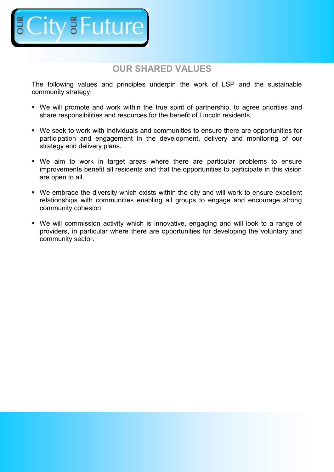

# **OUR SHARED VALUES**

The following values and principles underpin the work of LSP and the sustainable community strategy:

- We will promote and work within the true spirit of partnership, to agree priorities and share responsibilities and resources for the benefit of Lincoln residents.
- We seek to work with individuals and communities to ensure there are opportunities for participation and engagement in the development, delivery and monitoring of our strategy and delivery plans.
- We aim to work in target areas where there are particular problems to ensure improvements benefit all residents and that the opportunities to participate in this vision are open to all.
- We embrace the diversity which exists within the city and will work to ensure excellent relationships with communities enabling all groups to engage and encourage strong community cohesion.
- We will commission activity which is innovative, engaging and will look to a range of providers, in particular where there are opportunities for developing the voluntary and community sector.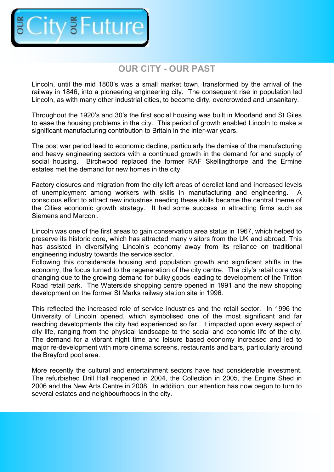

## **OUR CITY - OUR PAST**

Lincoln, until the mid 1800's was a small market town, transformed by the arrival of the railway in 1846, into a pioneering engineering city. The consequent rise in population led Lincoln, as with many other industrial cities, to become dirty, overcrowded and unsanitary.

Throughout the 1920's and 30's the first social housing was built in Moorland and St Giles to ease the housing problems in the city. This period of growth enabled Lincoln to make a significant manufacturing contribution to Britain in the inter-war years.

The post war period lead to economic decline, particularly the demise of the manufacturing and heavy engineering sectors with a continued growth in the demand for and supply of social housing. Birchwood replaced the former RAF Skellingthorpe and the Ermine estates met the demand for new homes in the city.

Factory closures and migration from the city left areas of derelict land and increased levels of unemployment among workers with skills in manufacturing and engineering. A conscious effort to attract new industries needing these skills became the central theme of the Cities economic growth strategy. It had some success in attracting firms such as Siemens and Marconi.

Lincoln was one of the first areas to gain conservation area status in 1967, which helped to preserve its historic core, which has attracted many visitors from the UK and abroad. This has assisted in diversifying Lincoln's economy away from its reliance on traditional engineering industry towards the service sector.

Following this considerable housing and population growth and significant shifts in the economy, the focus turned to the regeneration of the city centre. The city's retail core was changing due to the growing demand for bulky goods leading to development of the Tritton Road retail park. The Waterside shopping centre opened in 1991 and the new shopping development on the former St Marks railway station site in 1996.

This reflected the increased role of service industries and the retail sector. In 1996 the University of Lincoln opened, which symbolised one of the most significant and far reaching developments the city had experienced so far. It impacted upon every aspect of city life, ranging from the physical landscape to the social and economic life of the city. The demand for a vibrant night time and leisure based economy increased and led to major re-development with more cinema screens, restaurants and bars, particularly around the Brayford pool area.

More recently the cultural and entertainment sectors have had considerable investment. The refurbished Drill Hall reopened in 2004, the Collection in 2005, the Engine Shed in 2006 and the New Arts Centre in 2008. In addition, our attention has now begun to turn to several estates and neighbourhoods in the city.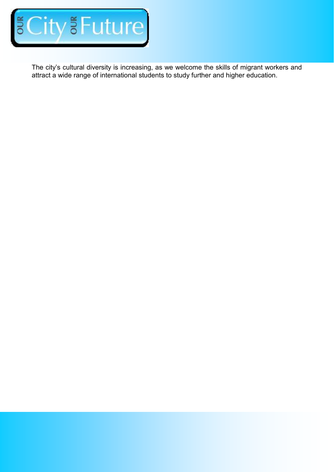

The city's cultural diversity is increasing, as we welcome the skills of migrant workers and attract a wide range of international students to study further and higher education.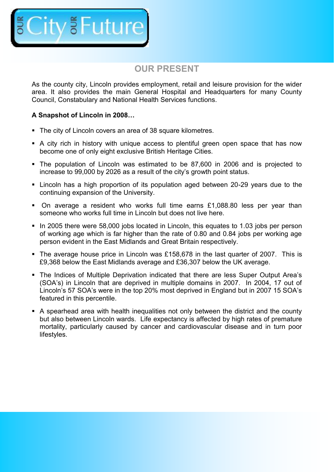

# **OUR PRESENT**

As the county city, Lincoln provides employment, retail and leisure provision for the wider area. It also provides the main General Hospital and Headquarters for many County Council, Constabulary and National Health Services functions.

#### **A Snapshot of Lincoln in 2008…**

- The city of Lincoln covers an area of 38 square kilometres.
- A city rich in history with unique access to plentiful green open space that has now become one of only eight exclusive British Heritage Cities.
- The population of Lincoln was estimated to be 87,600 in 2006 and is projected to increase to 99,000 by 2026 as a result of the city's growth point status.
- Lincoln has a high proportion of its population aged between 20-29 years due to the continuing expansion of the University.
- On average a resident who works full time earns £1,088.80 less per year than someone who works full time in Lincoln but does not live here.
- In 2005 there were 58,000 jobs located in Lincoln, this equates to 1.03 jobs per person of working age which is far higher than the rate of 0.80 and 0.84 jobs per working age person evident in the East Midlands and Great Britain respectively.
- The average house price in Lincoln was £158,678 in the last quarter of 2007. This is £9,368 below the East Midlands average and £36,307 below the UK average.
- The Indices of Multiple Deprivation indicated that there are less Super Output Area's (SOA's) in Lincoln that are deprived in multiple domains in 2007. In 2004, 17 out of Lincoln's 57 SOA's were in the top 20% most deprived in England but in 2007 15 SOA's featured in this percentile.
- A spearhead area with health inequalities not only between the district and the county but also between Lincoln wards. Life expectancy is affected by high rates of premature mortality, particularly caused by cancer and cardiovascular disease and in turn poor lifestyles.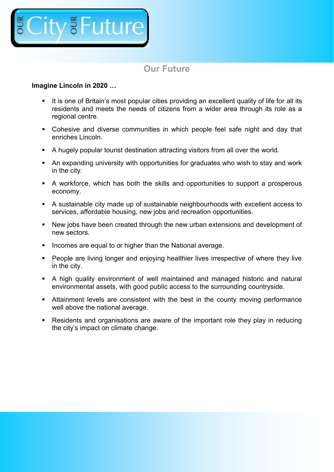

# **Our Future**

#### **Imagine Lincoln in 2020 …**

- It is one of Britain's most popular cities providing an excellent quality of life for all its residents and meets the needs of citizens from a wider area through its role as a regional centre.
- Cohesive and diverse communities in which people feel safe night and day that enriches Lincoln.
- A hugely popular tourist destination attracting visitors from all over the world.
- An expanding university with opportunities for graduates who wish to stay and work in the city.
- A workforce, which has both the skills and opportunities to support a prosperous economy.
- A sustainable city made up of sustainable neighbourhoods with excellent access to services, affordable housing, new jobs and recreation opportunities.
- New jobs have been created through the new urban extensions and development of new sectors.
- Incomes are equal to or higher than the National average.
- **People are living longer and enjoying healthier lives irrespective of where they live** in the city.
- A high quality environment of well maintained and managed historic and natural environmental assets, with good public access to the surrounding countryside.
- Attainment levels are consistent with the best in the county moving performance well above the national average.
- Residents and organisations are aware of the important role they play in reducing the city's impact on climate change.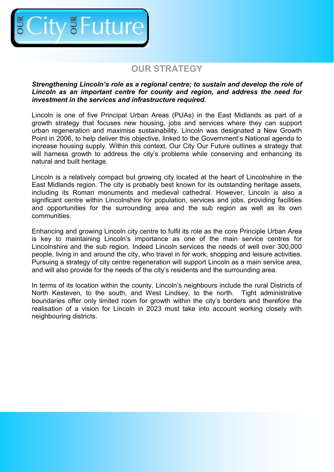

# **OUR STRATEGY**

#### *Strengthening Lincoln's role as a regional centre; to sustain and develop the role of Lincoln as an important centre for county and region, and address the need for investment in the services and infrastructure required.*

Lincoln is one of five Principal Urban Areas (PUAs) in the East Midlands as part of a growth strategy that focuses new housing, jobs and services where they can support urban regeneration and maximise sustainability. Lincoln was designated a New Growth Point in 2006, to help deliver this objective, linked to the Government's National agenda to increase housing supply. Within this context, Our City Our Future outlines a strategy that will harness growth to address the city's problems while conserving and enhancing its natural and built heritage.

Lincoln is a relatively compact but growing city located at the heart of Lincolnshire in the East Midlands region. The city is probably best known for its outstanding heritage assets, including its Roman monuments and medieval cathedral. However, Lincoln is also a significant centre within Lincolnshire for population, services and jobs, providing facilities and opportunities for the surrounding area and the sub region as well as its own communities.

Enhancing and growing Lincoln city centre to fulfil its role as the core Principle Urban Area is key to maintaining Lincoln's importance as one of the main service centres for Lincolnshire and the sub region. Indeed Lincoln services the needs of well over 300,000 people, living in and around the city, who travel in for work, shopping and leisure activities. Pursuing a strategy of city centre regeneration will support Lincoln as a main service area, and will also provide for the needs of the city's residents and the surrounding area.

In terms of its location within the county, Lincoln's neighbours include the rural Districts of North Kesteven, to the south, and West Lindsey, to the north. Tight administrative boundaries offer only limited room for growth within the city's borders and therefore the realisation of a vision for Lincoln in 2023 must take into account working closely with neighbouring districts.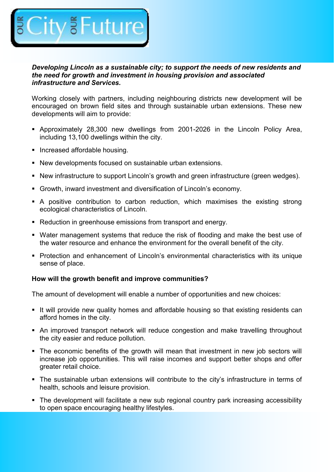

#### *Developing Lincoln as a sustainable city; to support the needs of new residents and the need for growth and investment in housing provision and associated infrastructure and Services.*

Working closely with partners, including neighbouring districts new development will be encouraged on brown field sites and through sustainable urban extensions. These new developments will aim to provide:

- Approximately 28,300 new dwellings from 2001-2026 in the Lincoln Policy Area, including 13,100 dwellings within the city.
- **Increased affordable housing.**
- New developments focused on sustainable urban extensions.
- New infrastructure to support Lincoln's growth and green infrastructure (green wedges).
- Growth, inward investment and diversification of Lincoln's economy.
- A positive contribution to carbon reduction, which maximises the existing strong ecological characteristics of Lincoln.
- Reduction in greenhouse emissions from transport and energy.
- Water management systems that reduce the risk of flooding and make the best use of the water resource and enhance the environment for the overall benefit of the city.
- Protection and enhancement of Lincoln's environmental characteristics with its unique sense of place.

#### **How will the growth benefit and improve communities?**

The amount of development will enable a number of opportunities and new choices:

- It will provide new quality homes and affordable housing so that existing residents can afford homes in the city.
- An improved transport network will reduce congestion and make travelling throughout the city easier and reduce pollution.
- The economic benefits of the growth will mean that investment in new job sectors will increase job opportunities. This will raise incomes and support better shops and offer greater retail choice.
- The sustainable urban extensions will contribute to the city's infrastructure in terms of health, schools and leisure provision.
- The development will facilitate a new sub regional country park increasing accessibility to open space encouraging healthy lifestyles.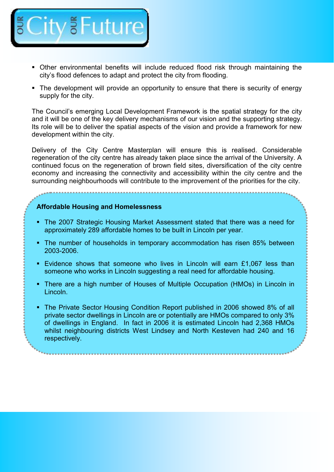

- Other environmental benefits will include reduced flood risk through maintaining the city's flood defences to adapt and protect the city from flooding.
- The development will provide an opportunity to ensure that there is security of energy supply for the city.

The Council's emerging Local Development Framework is the spatial strategy for the city and it will be one of the key delivery mechanisms of our vision and the supporting strategy. Its role will be to deliver the spatial aspects of the vision and provide a framework for new development within the city.

Delivery of the City Centre Masterplan will ensure this is realised. Considerable regeneration of the city centre has already taken place since the arrival of the University. A continued focus on the regeneration of brown field sites, diversification of the city centre economy and increasing the connectivity and accessibility within the city centre and the surrounding neighbourhoods will contribute to the improvement of the priorities for the city.

#### **Affordable Housing and Homelessness**

- The 2007 Strategic Housing Market Assessment stated that there was a need for approximately 289 affordable homes to be built in Lincoln per year.
- The number of households in temporary accommodation has risen 85% between 2003-2006.
- Evidence shows that someone who lives in Lincoln will earn £1,067 less than someone who works in Lincoln suggesting a real need for affordable housing.
- There are a high number of Houses of Multiple Occupation (HMOs) in Lincoln in Lincoln.
- The Private Sector Housing Condition Report published in 2006 showed 8% of all private sector dwellings in Lincoln are or potentially are HMOs compared to only 3% of dwellings in England. In fact in 2006 it is estimated Lincoln had 2,368 HMOs whilst neighbouring districts West Lindsey and North Kesteven had 240 and 16 respectively.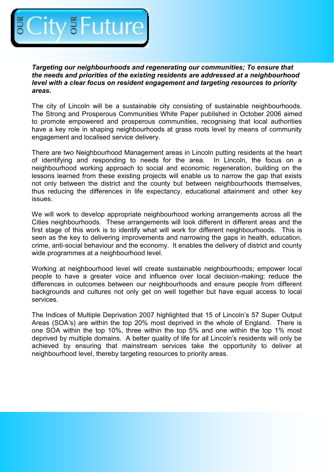

*Targeting our neighbourhoods and regenerating our communities; To ensure that the needs and priorities of the existing residents are addressed at a neighbourhood level with a clear focus on resident engagement and targeting resources to priority areas.*

The city of Lincoln will be a sustainable city consisting of sustainable neighbourhoods. The Strong and Prosperous Communities White Paper published in October 2006 aimed to promote empowered and prosperous communities, recognising that local authorities have a key role in shaping neighbourhoods at grass roots level by means of community engagement and localised service delivery.

There are two Neighbourhood Management areas in Lincoln putting residents at the heart of identifying and responding to needs for the area. In Lincoln, the focus on a neighbourhood working approach to social and economic regeneration, building on the lessons learned from these existing projects will enable us to narrow the gap that exists not only between the district and the county but between neighbourhoods themselves, thus reducing the differences in life expectancy, educational attainment and other key issues.

We will work to develop appropriate neighbourhood working arrangements across all the Cities neighbourhoods. These arrangements will look different in different areas and the first stage of this work is to identify what will work for different neighbourhoods. This is seen as the key to delivering improvements and narrowing the gaps in health, education, crime, anti-social behaviour and the economy. It enables the delivery of district and county wide programmes at a neighbourhood level.

Working at neighbourhood level will create sustainable neighbourhoods; empower local people to have a greater voice and influence over local decision-making; reduce the differences in outcomes between our neighbourhoods and ensure people from different backgrounds and cultures not only get on well together but have equal access to local services.

The Indices of Multiple Deprivation 2007 highlighted that 15 of Lincoln's 57 Super Output Areas (SOA's) are within the top 20% most deprived in the whole of England. There is one SOA within the top 10%, three within the top 5% and one within the top 1% most deprived by multiple domains. A better quality of life for all Lincoln's residents will only be achieved by ensuring that mainstream services take the opportunity to deliver at neighbourhood level, thereby targeting resources to priority areas.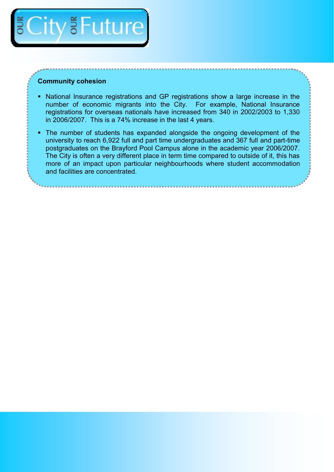

#### **Community cohesion**

- National Insurance registrations and GP registrations show a large increase in the number of economic migrants into the City. For example, National Insurance registrations for overseas nationals have increased from 340 in 2002/2003 to 1,330 in 2006/2007. This is a 74% increase in the last 4 years.
- The number of students has expanded alongside the ongoing development of the university to reach 6,922 full and part time undergraduates and 367 full and part-time postgraduates on the Brayford Pool Campus alone in the academic year 2006/2007. The City is often a very different place in term time compared to outside of it, this has more of an impact upon particular neighbourhoods where student accommodation and facilities are concentrated.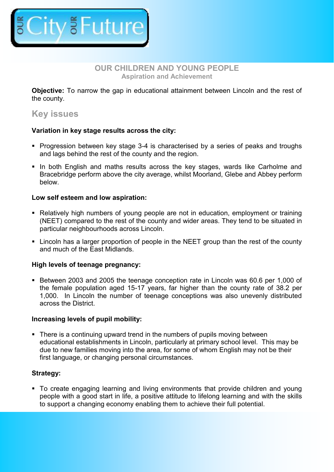

#### **OUR CHILDREN AND YOUNG PEOPLE Aspiration and Achievement**

**Objective:** To narrow the gap in educational attainment between Lincoln and the rest of the county.

### **Key issues**

#### **Variation in key stage results across the city:**

- **Progression between key stage 3-4 is characterised by a series of peaks and troughs** and lags behind the rest of the county and the region.
- In both English and maths results across the key stages, wards like Carholme and Bracebridge perform above the city average, whilst Moorland, Glebe and Abbey perform below.

#### **Low self esteem and low aspiration:**

- Relatively high numbers of young people are not in education, employment or training (NEET) compared to the rest of the county and wider areas. They tend to be situated in particular neighbourhoods across Lincoln.
- Lincoln has a larger proportion of people in the NEET group than the rest of the county and much of the East Midlands.

#### **High levels of teenage pregnancy:**

 Between 2003 and 2005 the teenage conception rate in Lincoln was 60.6 per 1,000 of the female population aged 15-17 years, far higher than the county rate of 38.2 per 1,000. In Lincoln the number of teenage conceptions was also unevenly distributed across the District.

#### **Increasing levels of pupil mobility:**

• There is a continuing upward trend in the numbers of pupils moving between educational establishments in Lincoln, particularly at primary school level. This may be due to new families moving into the area, for some of whom English may not be their first language, or changing personal circumstances.

#### **Strategy:**

 To create engaging learning and living environments that provide children and young people with a good start in life, a positive attitude to lifelong learning and with the skills to support a changing economy enabling them to achieve their full potential.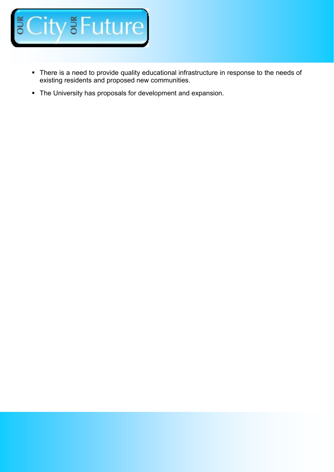

- There is a need to provide quality educational infrastructure in response to the needs of existing residents and proposed new communities.
- The University has proposals for development and expansion.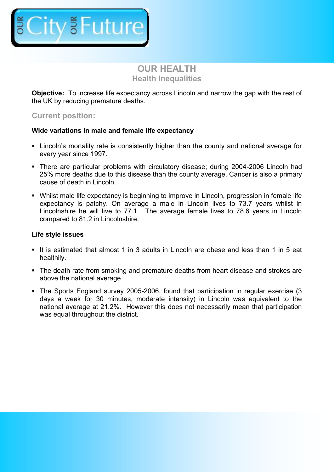

### **OUR HEALTH Health Inequalities**

**Objective:** To increase life expectancy across Lincoln and narrow the gap with the rest of the UK by reducing premature deaths.

#### **Current position:**

#### **Wide variations in male and female life expectancy**

- Lincoln's mortality rate is consistently higher than the county and national average for every year since 1997.
- There are particular problems with circulatory disease; during 2004-2006 Lincoln had 25% more deaths due to this disease than the county average. Cancer is also a primary cause of death in Lincoln.
- Whilst male life expectancy is beginning to improve in Lincoln, progression in female life expectancy is patchy. On average a male in Lincoln lives to 73.7 years whilst in Lincolnshire he will live to 77.1. The average female lives to 78.6 years in Lincoln compared to 81.2 in Lincolnshire.

#### **Life style issues**

- It is estimated that almost 1 in 3 adults in Lincoln are obese and less than 1 in 5 eat healthily.
- The death rate from smoking and premature deaths from heart disease and strokes are above the national average.
- The Sports England survey 2005-2006, found that participation in regular exercise (3 days a week for 30 minutes, moderate intensity) in Lincoln was equivalent to the national average at 21.2%. However this does not necessarily mean that participation was equal throughout the district.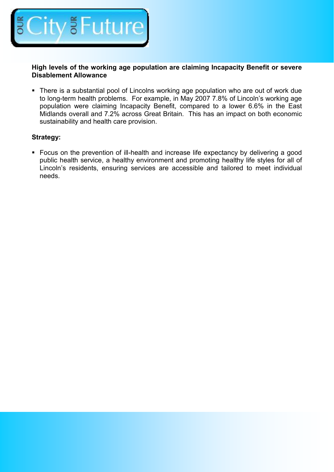

**High levels of the working age population are claiming Incapacity Benefit or severe Disablement Allowance**

• There is a substantial pool of Lincolns working age population who are out of work due to long-term health problems. For example, in May 2007 7.8% of Lincoln's working age population were claiming Incapacity Benefit, compared to a lower 6.6% in the East Midlands overall and 7.2% across Great Britain. This has an impact on both economic sustainability and health care provision.

#### **Strategy:**

• Focus on the prevention of ill-health and increase life expectancy by delivering a good public health service, a healthy environment and promoting healthy life styles for all of Lincoln's residents, ensuring services are accessible and tailored to meet individual needs.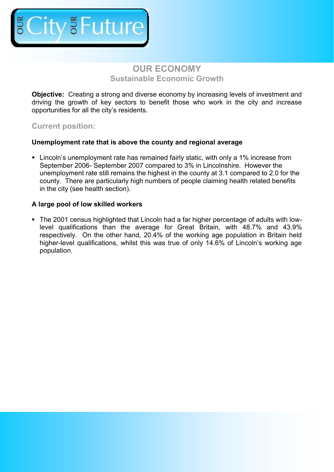

## **OUR ECONOMY Sustainable Economic Growth**

**Objective:** Creating a strong and diverse economy by increasing levels of investment and driving the growth of key sectors to benefit those who work in the city and increase opportunities for all the city's residents.

#### **Current position:**

#### **Unemployment rate that is above the county and regional average**

 Lincoln's unemployment rate has remained fairly static, with only a 1% increase from September 2006- September 2007 compared to 3% in Lincolnshire. However the unemployment rate still remains the highest in the county at 3.1 compared to 2.0 for the county. There are particularly high numbers of people claiming health related benefits in the city (see health section).

#### **A large pool of low skilled workers**

 The 2001 census highlighted that Lincoln had a far higher percentage of adults with lowlevel qualifications than the average for Great Britain, with 48.7% and 43.9% respectively. On the other hand, 20.4% of the working age population in Britain held higher-level qualifications, whilst this was true of only 14.6% of Lincoln's working age population.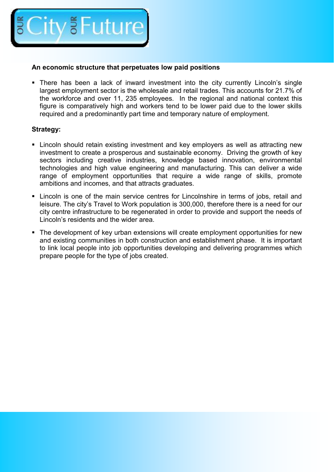

#### **An economic structure that perpetuates low paid positions**

 There has been a lack of inward investment into the city currently Lincoln's single largest employment sector is the wholesale and retail trades. This accounts for 21.7% of the workforce and over 11, 235 employees. In the regional and national context this figure is comparatively high and workers tend to be lower paid due to the lower skills required and a predominantly part time and temporary nature of employment.

#### **Strategy:**

- Lincoln should retain existing investment and key employers as well as attracting new investment to create a prosperous and sustainable economy. Driving the growth of key sectors including creative industries, knowledge based innovation, environmental technologies and high value engineering and manufacturing. This can deliver a wide range of employment opportunities that require a wide range of skills, promote ambitions and incomes, and that attracts graduates.
- Lincoln is one of the main service centres for Lincolnshire in terms of jobs, retail and leisure. The city's Travel to Work population is 300,000, therefore there is a need for our city centre infrastructure to be regenerated in order to provide and support the needs of Lincoln's residents and the wider area.
- The development of key urban extensions will create employment opportunities for new and existing communities in both construction and establishment phase. It is important to link local people into job opportunities developing and delivering programmes which prepare people for the type of jobs created.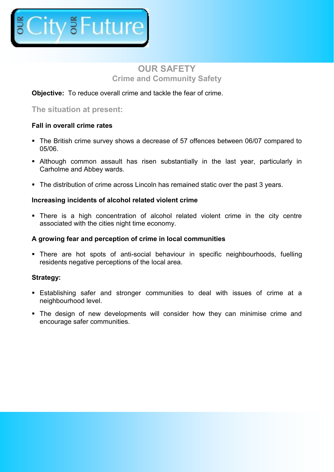

## **OUR SAFETY Crime and Community Safety**

#### **Objective:** To reduce overall crime and tackle the fear of crime.

#### **The situation at present:**

#### **Fall in overall crime rates**

- The British crime survey shows a decrease of 57 offences between 06/07 compared to 05/06.
- Although common assault has risen substantially in the last year, particularly in Carholme and Abbey wards.
- The distribution of crime across Lincoln has remained static over the past 3 years.

#### **Increasing incidents of alcohol related violent crime**

 There is a high concentration of alcohol related violent crime in the city centre associated with the cities night time economy.

#### **A growing fear and perception of crime in local communities**

 There are hot spots of anti-social behaviour in specific neighbourhoods, fuelling residents negative perceptions of the local area.

#### **Strategy:**

- Establishing safer and stronger communities to deal with issues of crime at a neighbourhood level.
- The design of new developments will consider how they can minimise crime and encourage safer communities.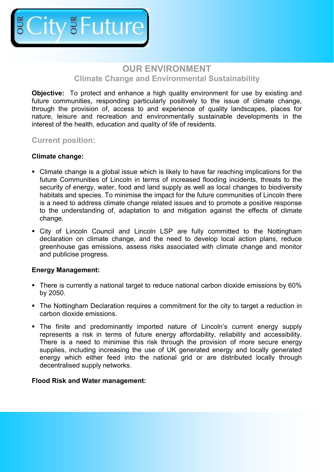

## **OUR ENVIRONMENT Climate Change and Environmental Sustainability**

**Objective:** To protect and enhance a high quality environment for use by existing and future communities, responding particularly positively to the issue of climate change, through the provision of, access to and experience of quality landscapes, places for nature, leisure and recreation and environmentally sustainable developments in the interest of the health, education and quality of life of residents.

**Current position:**

#### **Climate change:**

- Climate change is a global issue which is likely to have far reaching implications for the future Communities of Lincoln in terms of increased flooding incidents, threats to the security of energy, water, food and land supply as well as local changes to biodiversity habitats and species. To minimise the impact for the future communities of Lincoln there is a need to address climate change related issues and to promote a positive response to the understanding of, adaptation to and mitigation against the effects of climate change.
- City of Lincoln Council and Lincoln LSP are fully committed to the Nottingham declaration on climate change, and the need to develop local action plans, reduce greenhouse gas emissions, assess risks associated with climate change and monitor and publicise progress.

#### **Energy Management:**

- There is currently a national target to reduce national carbon dioxide emissions by 60% by 2050.
- The Nottingham Declaration requires a commitment for the city to target a reduction in carbon dioxide emissions.
- The finite and predominantly imported nature of Lincoln's current energy supply represents a risk in terms of future energy affordability, reliability and accessibility. There is a need to minimise this risk through the provision of more secure energy supplies, including increasing the use of UK generated energy and locally generated energy which either feed into the national grid or are distributed locally through decentralised supply networks.

#### **Flood Risk and Water management:**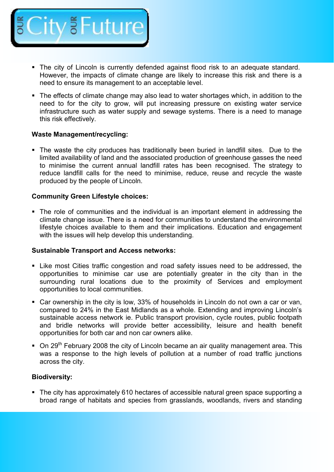

- The city of Lincoln is currently defended against flood risk to an adequate standard. However, the impacts of climate change are likely to increase this risk and there is a need to ensure its management to an acceptable level.
- The effects of climate change may also lead to water shortages which, in addition to the need to for the city to grow, will put increasing pressure on existing water service infrastructure such as water supply and sewage systems. There is a need to manage this risk effectively.

#### **Waste Management/recycling:**

 The waste the city produces has traditionally been buried in landfill sites. Due to the limited availability of land and the associated production of greenhouse gasses the need to minimise the current annual landfill rates has been recognised. The strategy to reduce landfill calls for the need to minimise, reduce, reuse and recycle the waste produced by the people of Lincoln.

#### **Community Green Lifestyle choices:**

 The role of communities and the individual is an important element in addressing the climate change issue. There is a need for communities to understand the environmental lifestyle choices available to them and their implications. Education and engagement with the issues will help develop this understanding.

#### **Sustainable Transport and Access networks:**

- Like most Cities traffic congestion and road safety issues need to be addressed, the opportunities to minimise car use are potentially greater in the city than in the surrounding rural locations due to the proximity of Services and employment opportunities to local communities.
- Car ownership in the city is low, 33% of households in Lincoln do not own a car or van, compared to 24% in the East Midlands as a whole. Extending and improving Lincoln's sustainable access network ie. Public transport provision, cycle routes, public footpath and bridle networks will provide better accessibility, leisure and health benefit opportunities for both car and non car owners alike.
- $\blacksquare$  On 29<sup>th</sup> February 2008 the city of Lincoln became an air quality management area. This was a response to the high levels of pollution at a number of road traffic junctions across the city.

#### **Biodiversity:**

• The city has approximately 610 hectares of accessible natural green space supporting a broad range of habitats and species from grasslands, woodlands, rivers and standing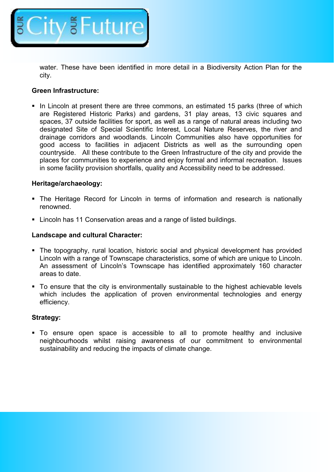

water. These have been identified in more detail in a Biodiversity Action Plan for the city.

#### **Green Infrastructure:**

In Lincoln at present there are three commons, an estimated 15 parks (three of which are Registered Historic Parks) and gardens, 31 play areas, 13 civic squares and spaces, 37 outside facilities for sport, as well as a range of natural areas including two designated Site of Special Scientific Interest, Local Nature Reserves, the river and drainage corridors and woodlands. Lincoln Communities also have opportunities for good access to facilities in adjacent Districts as well as the surrounding open countryside. All these contribute to the Green Infrastructure of the city and provide the places for communities to experience and enjoy formal and informal recreation. Issues in some facility provision shortfalls, quality and Accessibility need to be addressed.

#### **Heritage/archaeology:**

- The Heritage Record for Lincoln in terms of information and research is nationally renowned.
- Lincoln has 11 Conservation areas and a range of listed buildings.

#### **Landscape and cultural Character:**

- The topography, rural location, historic social and physical development has provided Lincoln with a range of Townscape characteristics, some of which are unique to Lincoln. An assessment of Lincoln's Townscape has identified approximately 160 character areas to date.
- To ensure that the city is environmentally sustainable to the highest achievable levels which includes the application of proven environmental technologies and energy efficiency.

#### **Strategy:**

 To ensure open space is accessible to all to promote healthy and inclusive neighbourhoods whilst raising awareness of our commitment to environmental sustainability and reducing the impacts of climate change.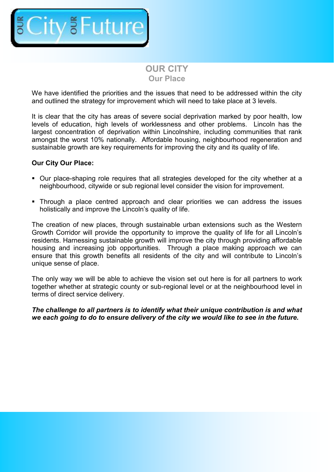

## **OUR CITY Our Place**

We have identified the priorities and the issues that need to be addressed within the city and outlined the strategy for improvement which will need to take place at 3 levels.

It is clear that the city has areas of severe social deprivation marked by poor health, low levels of education, high levels of worklessness and other problems. Lincoln has the largest concentration of deprivation within Lincolnshire, including communities that rank amongst the worst 10% nationally. Affordable housing, neighbourhood regeneration and sustainable growth are key requirements for improving the city and its quality of life.

#### **Our City Our Place:**

- Our place-shaping role requires that all strategies developed for the city whether at a neighbourhood, citywide or sub regional level consider the vision for improvement.
- Through a place centred approach and clear priorities we can address the issues holistically and improve the Lincoln's quality of life.

The creation of new places, through sustainable urban extensions such as the Western Growth Corridor will provide the opportunity to improve the quality of life for all Lincoln's residents. Harnessing sustainable growth will improve the city through providing affordable housing and increasing job opportunities. Through a place making approach we can ensure that this growth benefits all residents of the city and will contribute to Lincoln's unique sense of place.

The only way we will be able to achieve the vision set out here is for all partners to work together whether at strategic county or sub-regional level or at the neighbourhood level in terms of direct service delivery.

*The challenge to all partners is to identify what their unique contribution is and what we each going to do to ensure delivery of the city we would like to see in the future.*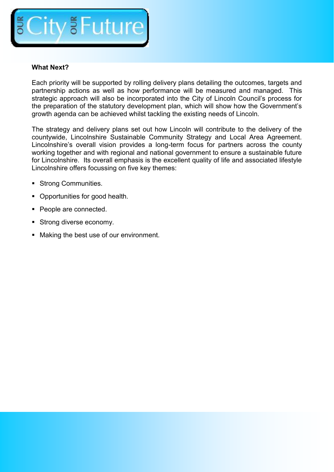

#### **What Next?**

Each priority will be supported by rolling delivery plans detailing the outcomes, targets and partnership actions as well as how performance will be measured and managed. This strategic approach will also be incorporated into the City of Lincoln Council's process for the preparation of the statutory development plan, which will show how the Government's growth agenda can be achieved whilst tackling the existing needs of Lincoln.

The strategy and delivery plans set out how Lincoln will contribute to the delivery of the countywide, Lincolnshire Sustainable Community Strategy and Local Area Agreement. Lincolnshire's overall vision provides a long-term focus for partners across the county working together and with regional and national government to ensure a sustainable future for Lincolnshire. Its overall emphasis is the excellent quality of life and associated lifestyle Lincolnshire offers focussing on five key themes:

- **Strong Communities.**
- Opportunities for good health.
- People are connected.
- Strong diverse economy.
- **Making the best use of our environment.**